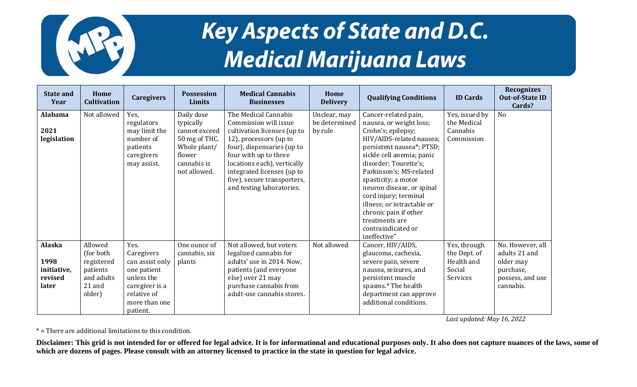

## Key Aspects of State and D.C. **Medical Marijuana Laws**

| <b>State and</b><br>Year | Home<br><b>Cultivation</b> | <b>Caregivers</b>             | <b>Possession</b><br><b>Limits</b> | <b>Medical Cannabis</b><br><b>Businesses</b>              | Home<br><b>Delivery</b> | <b>Qualifying Conditions</b>                     | <b>ID Cards</b> | <b>Recognizes</b><br><b>Out-of-State ID</b><br>Cards? |
|--------------------------|----------------------------|-------------------------------|------------------------------------|-----------------------------------------------------------|-------------------------|--------------------------------------------------|-----------------|-------------------------------------------------------|
| <b>Alabama</b>           | Not allowed                | Yes,                          | Daily dose                         | The Medical Cannabis                                      | Unclear, may            | Cancer-related pain,                             | Yes, issued by  | N <sub>o</sub>                                        |
|                          |                            | regulators                    | typically                          | Commission will issue                                     | be determined           | nausea, or weight loss;                          | the Medical     |                                                       |
| 2021                     |                            | may limit the                 | cannot exceed                      | cultivation licenses (up to                               | by rule                 | Crohn's; epilepsy;                               | Cannabis        |                                                       |
| legislation              |                            | number of                     | 50 mg of THC.                      | 12), processors (up to                                    |                         | HIV/AIDS-related nausea;                         | Commission      |                                                       |
|                          |                            | patients                      | Whole plant/                       | four), dispensaries (up to                                |                         | persistent nausea*; PTSD;                        |                 |                                                       |
|                          |                            | caregivers                    | flower                             | four with up to three                                     |                         | sickle cell anemia; panic                        |                 |                                                       |
|                          |                            | may assist.                   | cannabis is<br>not allowed.        | locations each), vertically                               |                         | disorder; Tourette's;                            |                 |                                                       |
|                          |                            |                               |                                    | integrated licenses (up to<br>five), secure transporters, |                         | Parkinson's; MS-related<br>spasticity; a motor   |                 |                                                       |
|                          |                            |                               |                                    | and testing laboratories.                                 |                         | neuron disease, or spinal                        |                 |                                                       |
|                          |                            |                               |                                    |                                                           |                         | cord injury; terminal                            |                 |                                                       |
|                          |                            |                               |                                    |                                                           |                         | illness; or intractable or                       |                 |                                                       |
|                          |                            |                               |                                    |                                                           |                         | chronic pain if other                            |                 |                                                       |
|                          |                            |                               |                                    |                                                           |                         | treatments are                                   |                 |                                                       |
|                          |                            |                               |                                    |                                                           |                         | contraindicated or                               |                 |                                                       |
|                          |                            |                               |                                    |                                                           |                         | ineffective"                                     |                 |                                                       |
| <b>Alaska</b>            | Allowed                    | Yes.                          | One ounce of                       | Not allowed, but voters                                   | Not allowed             | Cancer, HIV/AIDS,                                | Yes, through    | No. However, all                                      |
|                          | (for both                  | Caregivers                    | cannabis, six                      | legalized cannabis for                                    |                         | glaucoma, cachexia,                              | the Dept. of    | adults 21 and                                         |
| 1998                     | registered                 | can assist only               | plants                             | adults' use in 2014. Now,                                 |                         | severe pain, severe                              | Health and      | older may                                             |
| initiative,              | patients                   | one patient                   |                                    | patients (and everyone                                    |                         | nausea, seizures, and                            | Social          | purchase,                                             |
| revised                  | and adults                 | unless the                    |                                    | else) over 21 may                                         |                         | persistent muscle                                | Services        | possess, and use                                      |
| later                    | 21 and<br>older)           | caregiver is a<br>relative of |                                    | purchase cannabis from<br>adult-use cannabis stores.      |                         | spasms.* The health                              |                 | cannabis.                                             |
|                          |                            | more than one                 |                                    |                                                           |                         | department can approve<br>additional conditions. |                 |                                                       |
|                          |                            | patient.                      |                                    |                                                           |                         |                                                  |                 |                                                       |

*Last updated: May 16, 2022*

\* = There are additional limitations to this condition.

**Disclaimer: This grid is not intended for or offered for legal advice. It is for informational and educational purposes only. It also does not capture nuances of the laws, some of which are dozens of pages. Please consult with an attorney licensed to practice in the state in question for legal advice.**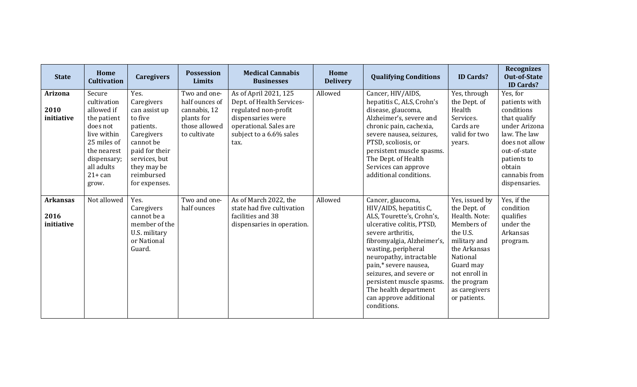| <b>State</b>                          | Home<br><b>Cultivation</b>                                                                                                                                     | <b>Caregivers</b>                                                                                                                                                       | <b>Possession</b><br>Limits                                                                   | <b>Medical Cannabis</b><br><b>Businesses</b>                                                                                                                 | Home<br><b>Delivery</b> | <b>Qualifying Conditions</b>                                                                                                                                                                                                                                                                                                                                  | <b>ID Cards?</b>                                                                                                                                                                                    | <b>Recognizes</b><br><b>Out-of-State</b><br><b>ID Cards?</b>                                                                                                                          |
|---------------------------------------|----------------------------------------------------------------------------------------------------------------------------------------------------------------|-------------------------------------------------------------------------------------------------------------------------------------------------------------------------|-----------------------------------------------------------------------------------------------|--------------------------------------------------------------------------------------------------------------------------------------------------------------|-------------------------|---------------------------------------------------------------------------------------------------------------------------------------------------------------------------------------------------------------------------------------------------------------------------------------------------------------------------------------------------------------|-----------------------------------------------------------------------------------------------------------------------------------------------------------------------------------------------------|---------------------------------------------------------------------------------------------------------------------------------------------------------------------------------------|
| <b>Arizona</b><br>2010<br>initiative  | Secure<br>cultivation<br>allowed if<br>the patient<br>does not<br>live within<br>25 miles of<br>the nearest<br>dispensary;<br>all adults<br>$21+$ can<br>grow. | Yes.<br>Caregivers<br>can assist up<br>to five<br>patients.<br>Caregivers<br>cannot be<br>paid for their<br>services, but<br>they may be<br>reimbursed<br>for expenses. | Two and one-<br>half ounces of<br>cannabis, 12<br>plants for<br>those allowed<br>to cultivate | As of April 2021, 125<br>Dept. of Health Services-<br>regulated non-profit<br>dispensaries were<br>operational. Sales are<br>subject to a 6.6% sales<br>tax. | Allowed                 | Cancer, HIV/AIDS,<br>hepatitis C, ALS, Crohn's<br>disease, glaucoma,<br>Alzheimer's, severe and<br>chronic pain, cachexia,<br>severe nausea, seizures,<br>PTSD, scoliosis, or<br>persistent muscle spasms.<br>The Dept. of Health<br>Services can approve<br>additional conditions.                                                                           | Yes, through<br>the Dept. of<br>Health<br>Services.<br>Cards are<br>valid for two<br>years.                                                                                                         | Yes, for<br>patients with<br>conditions<br>that qualify<br>under Arizona<br>law. The law<br>does not allow<br>out-of-state<br>patients to<br>obtain<br>cannabis from<br>dispensaries. |
| <b>Arkansas</b><br>2016<br>initiative | Not allowed                                                                                                                                                    | Yes.<br>Caregivers<br>cannot be a<br>member of the<br>U.S. military<br>or National<br>Guard.                                                                            | Two and one-<br>half ounces                                                                   | As of March 2022, the<br>state had five cultivation<br>facilities and 38<br>dispensaries in operation.                                                       | Allowed                 | Cancer, glaucoma,<br>HIV/AIDS, hepatitis C,<br>ALS, Tourette's, Crohn's,<br>ulcerative colitis, PTSD,<br>severe arthritis.<br>fibromyalgia, Alzheimer's,<br>wasting, peripheral<br>neuropathy, intractable<br>pain,* severe nausea,<br>seizures, and severe or<br>persistent muscle spasms.<br>The health department<br>can approve additional<br>conditions. | Yes, issued by<br>the Dept. of<br>Health. Note:<br>Members of<br>the U.S.<br>military and<br>the Arkansas<br>National<br>Guard may<br>not enroll in<br>the program<br>as caregivers<br>or patients. | Yes, if the<br>condition<br>qualifies<br>under the<br>Arkansas<br>program.                                                                                                            |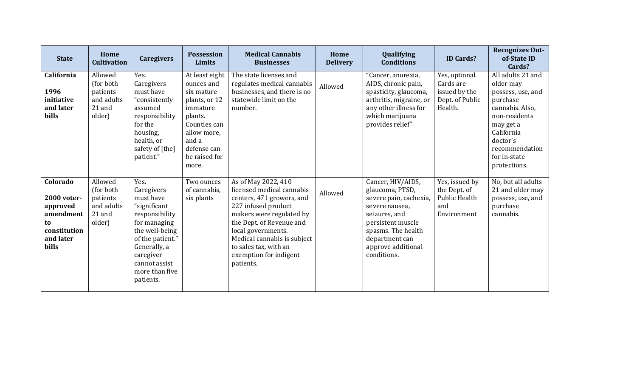| <b>State</b>                                                                                 | Home<br><b>Cultivation</b>                                          | <b>Caregivers</b>                                                                                                                                                                                    | <b>Possession</b><br>Limits                                                                                                                                         | <b>Medical Cannabis</b><br><b>Businesses</b>                                                                                                                                                                                                                                      | Home<br><b>Delivery</b> | Qualifying<br><b>Conditions</b>                                                                                                                                                                     | <b>ID Cards?</b>                                                             | <b>Recognizes Out-</b><br>of-State ID<br>Cards?                                                                                                                                              |
|----------------------------------------------------------------------------------------------|---------------------------------------------------------------------|------------------------------------------------------------------------------------------------------------------------------------------------------------------------------------------------------|---------------------------------------------------------------------------------------------------------------------------------------------------------------------|-----------------------------------------------------------------------------------------------------------------------------------------------------------------------------------------------------------------------------------------------------------------------------------|-------------------------|-----------------------------------------------------------------------------------------------------------------------------------------------------------------------------------------------------|------------------------------------------------------------------------------|----------------------------------------------------------------------------------------------------------------------------------------------------------------------------------------------|
| California<br>1996<br>initiative<br>and later<br>bills                                       | Allowed<br>(for both<br>patients<br>and adults<br>21 and<br>older)  | Yes.<br>Caregivers<br>must have<br>"consistently<br>assumed<br>responsibility<br>for the<br>housing,<br>health, or<br>safety of [the]<br>patient."                                                   | At least eight<br>ounces and<br>six mature<br>plants, or 12<br>immature<br>plants.<br>Counties can<br>allow more,<br>and a<br>defense can<br>be raised for<br>more. | The state licenses and<br>regulates medical cannabis<br>businesses, and there is no<br>statewide limit on the<br>number.                                                                                                                                                          | Allowed                 | "Cancer, anorexia,<br>AIDS, chronic pain,<br>spasticity, glaucoma,<br>arthritis, migraine, or<br>any other illness for<br>which marijuana<br>provides relief"                                       | Yes, optional.<br>Cards are<br>issued by the<br>Dept. of Public<br>Health.   | All adults 21 and<br>older may<br>possess, use, and<br>purchase<br>cannabis. Also,<br>non-residents<br>may get a<br>California<br>doctor's<br>recommendation<br>for in-state<br>protections. |
| Colorado<br>2000 voter-<br>approved<br>amendment<br>to<br>constitution<br>and later<br>bills | Allowed<br>(for both)<br>patients<br>and adults<br>21 and<br>older) | Yes.<br>Caregivers<br>must have<br>"significant<br>responsibility<br>for managing<br>the well-being<br>of the patient."<br>Generally, a<br>caregiver<br>cannot assist<br>more than five<br>patients. | Two ounces<br>of cannabis,<br>six plants                                                                                                                            | As of May 2022, 410<br>licensed medical cannabis<br>centers, 471 growers, and<br>227 infused product<br>makers were regulated by<br>the Dept. of Revenue and<br>local governments.<br>Medical cannabis is subject<br>to sales tax, with an<br>exemption for indigent<br>patients. | Allowed                 | Cancer, HIV/AIDS,<br>glaucoma, PTSD,<br>severe pain, cachexia,<br>severe nausea,<br>seizures, and<br>persistent muscle<br>spasms. The health<br>department can<br>approve additional<br>conditions. | Yes, issued by<br>the Dept. of<br><b>Public Health</b><br>and<br>Environment | No, but all adults<br>21 and older may<br>possess, use, and<br>purchase<br>cannabis.                                                                                                         |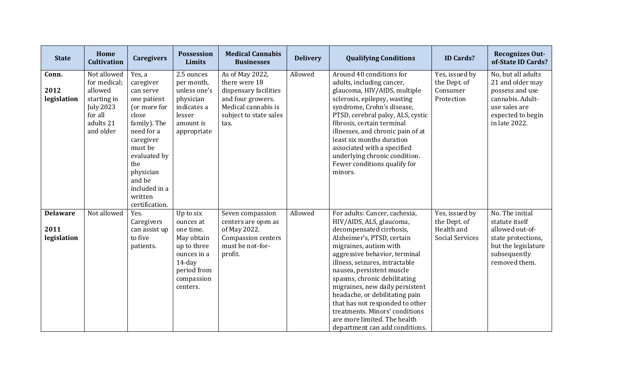| <b>State</b>                           | Home<br><b>Cultivation</b>                                                                                     | <b>Caregivers</b>                                                                                                                                                                                        | <b>Possession</b><br><b>Limits</b>                                                                                                    | <b>Medical Cannabis</b><br><b>Businesses</b>                                                                                            | <b>Delivery</b> | <b>Qualifying Conditions</b>                                                                                                                                                                                                                                                                                                                                                                                                                                                              | <b>ID Cards?</b>                                                       | <b>Recognizes Out-</b><br>of-State ID Cards?                                                                                         |
|----------------------------------------|----------------------------------------------------------------------------------------------------------------|----------------------------------------------------------------------------------------------------------------------------------------------------------------------------------------------------------|---------------------------------------------------------------------------------------------------------------------------------------|-----------------------------------------------------------------------------------------------------------------------------------------|-----------------|-------------------------------------------------------------------------------------------------------------------------------------------------------------------------------------------------------------------------------------------------------------------------------------------------------------------------------------------------------------------------------------------------------------------------------------------------------------------------------------------|------------------------------------------------------------------------|--------------------------------------------------------------------------------------------------------------------------------------|
| Conn.<br>2012<br>legislation           | Not allowed<br>for medical;<br>allowed<br>starting in<br><b>July 2023</b><br>for all<br>adults 21<br>and older | Yes, a<br>caregiver<br>can serve<br>one patient<br>(or more for<br>close<br>family). The<br>need for a<br>caregiver<br>must be<br>evaluated by<br>the<br>physician<br>and be<br>included in a<br>written | 2.5 ounces<br>per month,<br>unless one's<br>physician<br>indicates a<br>lesser<br>amount is<br>appropriate                            | As of May 2022,<br>there were 18<br>dispensary facilities<br>and four growers.<br>Medical cannabis is<br>subject to state sales<br>tax. | Allowed         | Around 40 conditions for<br>adults, including cancer,<br>glaucoma, HIV/AIDS, multiple<br>sclerosis, epilepsy, wasting<br>syndrome, Crohn's disease,<br>PTSD, cerebral palsy, ALS, cystic<br>fibrosis, certain terminal<br>illnesses, and chronic pain of at<br>least six months duration<br>associated with a specified<br>underlying chronic condition.<br>Fewer conditions qualify for<br>minors.                                                                                       | Yes, issued by<br>the Dept. of<br>Consumer<br>Protection               | No, but all adults<br>21 and older may<br>possess and use<br>cannabis. Adult-<br>use sales are<br>expected to begin<br>in late 2022. |
|                                        |                                                                                                                | certification.                                                                                                                                                                                           |                                                                                                                                       |                                                                                                                                         |                 |                                                                                                                                                                                                                                                                                                                                                                                                                                                                                           |                                                                        |                                                                                                                                      |
| <b>Delaware</b><br>2011<br>legislation | Not allowed                                                                                                    | Yes.<br>Caregivers<br>can assist up<br>to five<br>patients.                                                                                                                                              | Up to six<br>ounces at<br>one time.<br>May obtain<br>up to three<br>ounces in a<br>$14$ -day<br>period from<br>compassion<br>centers. | Seven compassion<br>centers are open as<br>of May 2022.<br>Compassion centers<br>must be not-for-<br>profit.                            | Allowed         | For adults: Cancer, cachexia,<br>HIV/AIDS, ALS, glaucoma,<br>decompensated cirrhosis,<br>Alzheimer's, PTSD, certain<br>migraines, autism with<br>aggressive behavior, terminal<br>illness, seizures, intractable<br>nausea, persistent muscle<br>spasms, chronic debilitating<br>migraines, new daily persistent<br>headache, or debilitating pain<br>that has not responded to other<br>treatments. Minors' conditions<br>are more limited. The health<br>department can add conditions. | Yes, issued by<br>the Dept. of<br>Health and<br><b>Social Services</b> | No. The initial<br>statute itself<br>allowed out-of-<br>state protections,<br>but the legislature<br>subsequently<br>removed them.   |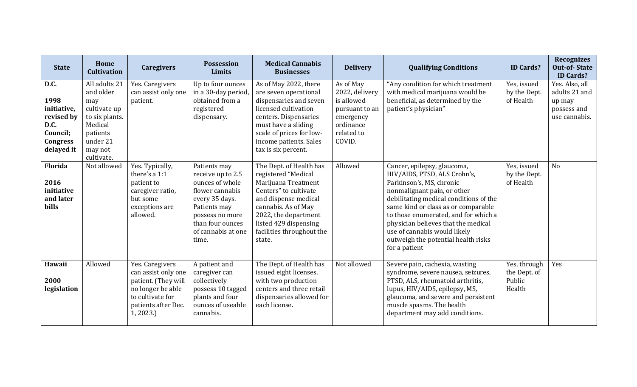| <b>State</b>                                                                                   | Home<br><b>Cultivation</b>                                                                                                      | <b>Caregivers</b>                                                                                                                         | <b>Possession</b><br>Limits                                                                                                                                                     | <b>Medical Cannabis</b><br><b>Businesses</b>                                                                                                                                                                                          | <b>Delivery</b>                                                                                               | <b>Qualifying Conditions</b>                                                                                                                                                                                                                                                                                                                                                   | <b>ID Cards?</b>                                 | <b>Recognizes</b><br><b>Out-of-State</b><br><b>ID Cards?</b>              |
|------------------------------------------------------------------------------------------------|---------------------------------------------------------------------------------------------------------------------------------|-------------------------------------------------------------------------------------------------------------------------------------------|---------------------------------------------------------------------------------------------------------------------------------------------------------------------------------|---------------------------------------------------------------------------------------------------------------------------------------------------------------------------------------------------------------------------------------|---------------------------------------------------------------------------------------------------------------|--------------------------------------------------------------------------------------------------------------------------------------------------------------------------------------------------------------------------------------------------------------------------------------------------------------------------------------------------------------------------------|--------------------------------------------------|---------------------------------------------------------------------------|
| D.C.<br>1998<br>initiative,<br>revised by<br>D.C.<br>Council;<br><b>Congress</b><br>delayed it | All adults 21<br>and older<br>may<br>cultivate up<br>to six plants.<br>Medical<br>patients<br>under 21<br>may not<br>cultivate. | Yes. Caregivers<br>can assist only one<br>patient.                                                                                        | Up to four ounces<br>in a 30-day period,<br>obtained from a<br>registered<br>dispensary.                                                                                        | As of May 2022, there<br>are seven operational<br>dispensaries and seven<br>licensed cultivation<br>centers. Dispensaries<br>must have a sliding<br>scale of prices for low-<br>income patients. Sales<br>tax is six percent.         | As of May<br>2022, delivery<br>is allowed<br>pursuant to an<br>emergency<br>ordinance<br>related to<br>COVID. | "Any condition for which treatment<br>with medical marijuana would be<br>beneficial, as determined by the<br>patient's physician"                                                                                                                                                                                                                                              | Yes, issued<br>by the Dept.<br>of Health         | Yes. Also, all<br>adults 21 and<br>up may<br>possess and<br>use cannabis. |
| Florida<br>2016<br>initiative<br>and later<br>bills                                            | Not allowed                                                                                                                     | Yes. Typically,<br>there's a 1:1<br>patient to<br>caregiver ratio,<br>but some<br>exceptions are<br>allowed.                              | Patients may<br>receive up to 2.5<br>ounces of whole<br>flower cannabis<br>every 35 days.<br>Patients may<br>possess no more<br>than four ounces<br>of cannabis at one<br>time. | The Dept. of Health has<br>registered "Medical<br>Marijuana Treatment<br>Centers" to cultivate<br>and dispense medical<br>cannabis. As of May<br>2022, the department<br>listed 429 dispensing<br>facilities throughout the<br>state. | Allowed                                                                                                       | Cancer, epilepsy, glaucoma,<br>HIV/AIDS, PTSD, ALS Crohn's,<br>Parkinson's, MS, chronic<br>nonmalignant pain, or other<br>debilitating medical conditions of the<br>same kind or class as or comparable<br>to those enumerated, and for which a<br>physician believes that the medical<br>use of cannabis would likely<br>outweigh the potential health risks<br>for a patient | Yes, issued<br>by the Dept.<br>of Health         | N <sub>o</sub>                                                            |
| Hawaii<br>2000<br>legislation                                                                  | Allowed                                                                                                                         | Yes. Caregivers<br>can assist only one<br>patient. (They will<br>no longer be able<br>to cultivate for<br>patients after Dec.<br>1, 2023. | A patient and<br>caregiver can<br>collectively<br>possess 10 tagged<br>plants and four<br>ounces of useable<br>cannabis.                                                        | The Dept. of Health has<br>issued eight licenses,<br>with two production<br>centers and three retail<br>dispensaries allowed for<br>each license.                                                                                     | Not allowed                                                                                                   | Severe pain, cachexia, wasting<br>syndrome, severe nausea, seizures,<br>PTSD, ALS, rheumatoid arthritis,<br>lupus, HIV/AIDS, epilepsy, MS,<br>glaucoma, and severe and persistent<br>muscle spasms. The health<br>department may add conditions.                                                                                                                               | Yes, through<br>the Dept. of<br>Public<br>Health | Yes                                                                       |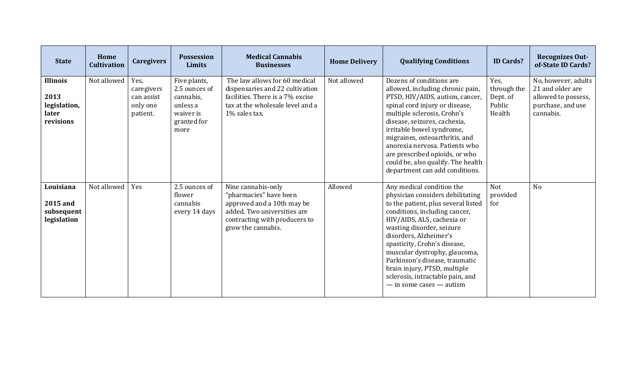| <b>State</b>                                                  | Home<br><b>Cultivation</b> | <b>Caregivers</b>                                        | <b>Possession</b><br><b>Limits</b>                                                         | <b>Medical Cannabis</b><br><b>Businesses</b>                                                                                                                     | <b>Home Delivery</b> | <b>Qualifying Conditions</b>                                                                                                                                                                                                                                                                                                                                                                                                      | <b>ID Cards?</b>                                    | <b>Recognizes Out-</b><br>of-State ID Cards?                                                     |
|---------------------------------------------------------------|----------------------------|----------------------------------------------------------|--------------------------------------------------------------------------------------------|------------------------------------------------------------------------------------------------------------------------------------------------------------------|----------------------|-----------------------------------------------------------------------------------------------------------------------------------------------------------------------------------------------------------------------------------------------------------------------------------------------------------------------------------------------------------------------------------------------------------------------------------|-----------------------------------------------------|--------------------------------------------------------------------------------------------------|
| <b>Illinois</b><br>2013<br>legislation,<br>later<br>revisions | Not allowed                | Yes,<br>caregivers<br>can assist<br>only one<br>patient. | Five plants,<br>2.5 ounces of<br>cannabis,<br>unless a<br>waiver is<br>granted for<br>more | The law allows for 60 medical<br>dispensaries and 22 cultivation<br>facilities. There is a 7% excise<br>tax at the wholesale level and a<br>1% sales tax.        | Not allowed          | Dozens of conditions are<br>allowed, including chronic pain,<br>PTSD, HIV/AIDS, autism, cancer,<br>spinal cord injury or disease,<br>multiple sclerosis, Crohn's<br>disease, seizures, cachexia,<br>irritable bowel syndrome,<br>migraines, osteoarthritis, and<br>anorexia nervosa. Patients who<br>are prescribed opioids, or who<br>could be, also qualify. The health<br>department can add conditions.                       | Yes,<br>through the<br>Dept. of<br>Public<br>Health | No, however, adults<br>21 and older are<br>allowed to possess,<br>purchase, and use<br>cannabis. |
| Louisiana<br>2015 and<br>subsequent<br>legislation            | Not allowed                | Yes                                                      | 2.5 ounces of<br>flower<br>cannabis<br>every 14 days                                       | Nine cannabis-only<br>"pharmacies" have been<br>approved and a 10th may be<br>added. Two universities are<br>contracting with producers to<br>grow the cannabis. | Allowed              | Any medical condition the<br>physician considers debilitating<br>to the patient, plus several listed<br>conditions, including cancer,<br>HIV/AIDS, ALS, cachexia or<br>wasting disorder, seizure<br>disorders, Alzheimer's<br>spasticity, Crohn's disease,<br>muscular dystrophy, glaucoma,<br>Parkinson's disease, traumatic<br>brain injury, PTSD, multiple<br>sclerosis, intractable pain, and<br>$-$ in some cases $-$ autism | <b>Not</b><br>provided<br>for                       | N <sub>o</sub>                                                                                   |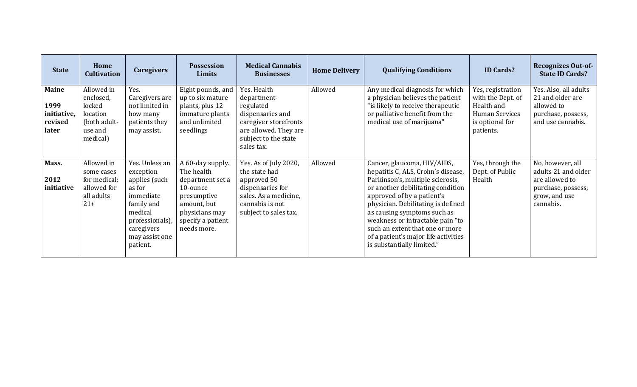| <b>State</b>                                            | Home<br><b>Cultivation</b>                                                           | <b>Caregivers</b>                                                                                                                                           | <b>Possession</b><br>Limits                                                                                                                        | <b>Medical Cannabis</b><br><b>Businesses</b>                                                                                                        | <b>Home Delivery</b> | <b>Qualifying Conditions</b>                                                                                                                                                                                                                                                                                                                                                               | <b>ID Cards?</b>                                                                                              | <b>Recognizes Out-of-</b><br><b>State ID Cards?</b>                                                           |
|---------------------------------------------------------|--------------------------------------------------------------------------------------|-------------------------------------------------------------------------------------------------------------------------------------------------------------|----------------------------------------------------------------------------------------------------------------------------------------------------|-----------------------------------------------------------------------------------------------------------------------------------------------------|----------------------|--------------------------------------------------------------------------------------------------------------------------------------------------------------------------------------------------------------------------------------------------------------------------------------------------------------------------------------------------------------------------------------------|---------------------------------------------------------------------------------------------------------------|---------------------------------------------------------------------------------------------------------------|
| <b>Maine</b><br>1999<br>initiative,<br>revised<br>later | Allowed in<br>enclosed,<br>locked<br>location<br>(both adult-<br>use and<br>medical) | Yes.<br>Caregivers are<br>not limited in<br>how many<br>patients they<br>may assist.                                                                        | Eight pounds, and<br>up to six mature<br>plants, plus 12<br>immature plants<br>and unlimited<br>seedlings                                          | Yes. Health<br>department-<br>regulated<br>dispensaries and<br>caregiver storefronts<br>are allowed. They are<br>subject to the state<br>sales tax. | Allowed              | Any medical diagnosis for which<br>a physician believes the patient<br>"is likely to receive therapeutic<br>or palliative benefit from the<br>medical use of marijuana"                                                                                                                                                                                                                    | Yes, registration<br>with the Dept. of<br>Health and<br><b>Human Services</b><br>is optional for<br>patients. | Yes. Also, all adults<br>21 and older are<br>allowed to<br>purchase, possess,<br>and use cannabis.            |
| Mass.<br>2012<br>initiative                             | Allowed in<br>some cases<br>for medical;<br>allowed for<br>all adults<br>$21+$       | Yes. Unless an<br>exception<br>applies (such<br>as for<br>immediate<br>family and<br>medical<br>professionals),<br>caregivers<br>may assist one<br>patient. | A 60-day supply.<br>The health<br>department set a<br>10-ounce<br>presumptive<br>amount, but<br>physicians may<br>specify a patient<br>needs more. | Yes. As of July 2020,<br>the state had<br>approved 50<br>dispensaries for<br>sales. As a medicine,<br>cannabis is not<br>subject to sales tax.      | Allowed              | Cancer, glaucoma, HIV/AIDS,<br>hepatitis C, ALS, Crohn's disease,<br>Parkinson's, multiple sclerosis,<br>or another debilitating condition<br>approved of by a patient's<br>physician. Debilitating is defined<br>as causing symptoms such as<br>weakness or intractable pain "to<br>such an extent that one or more<br>of a patient's major life activities<br>is substantially limited." | Yes, through the<br>Dept. of Public<br>Health                                                                 | No, however, all<br>adults 21 and older<br>are allowed to<br>purchase, possess,<br>grow, and use<br>cannabis. |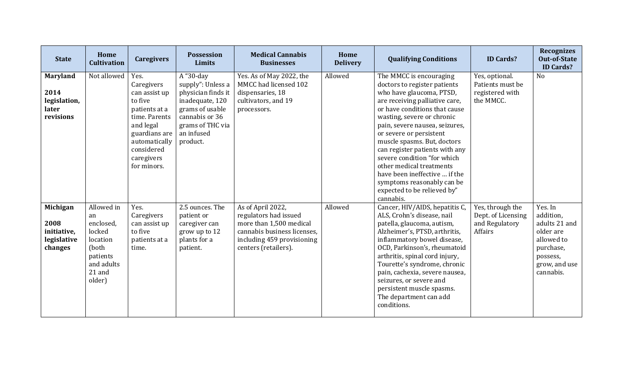| <b>State</b>                                                  | Home<br><b>Cultivation</b>                                                                                 | <b>Caregivers</b>                                                                                                                                                          | <b>Possession</b><br>Limits                                                                                                                                | <b>Medical Cannabis</b><br><b>Businesses</b>                                                                                                               | Home<br><b>Delivery</b> | <b>Qualifying Conditions</b>                                                                                                                                                                                                                                                                                                                                                                                                                                                             | <b>ID Cards?</b>                                                    | <b>Recognizes</b><br><b>Out-of-State</b><br><b>ID Cards?</b>                                                            |
|---------------------------------------------------------------|------------------------------------------------------------------------------------------------------------|----------------------------------------------------------------------------------------------------------------------------------------------------------------------------|------------------------------------------------------------------------------------------------------------------------------------------------------------|------------------------------------------------------------------------------------------------------------------------------------------------------------|-------------------------|------------------------------------------------------------------------------------------------------------------------------------------------------------------------------------------------------------------------------------------------------------------------------------------------------------------------------------------------------------------------------------------------------------------------------------------------------------------------------------------|---------------------------------------------------------------------|-------------------------------------------------------------------------------------------------------------------------|
| <b>Maryland</b><br>2014<br>legislation,<br>later<br>revisions | Not allowed                                                                                                | Yes.<br>Caregivers<br>can assist up<br>to five<br>patients at a<br>time. Parents<br>and legal<br>guardians are<br>automatically<br>considered<br>caregivers<br>for minors. | A "30-day<br>supply": Unless a<br>physician finds it<br>inadequate, 120<br>grams of usable<br>cannabis or 36<br>grams of THC via<br>an infused<br>product. | Yes. As of May 2022, the<br>MMCC had licensed 102<br>dispensaries, 18<br>cultivators, and 19<br>processors.                                                | Allowed                 | The MMCC is encouraging<br>doctors to register patients<br>who have glaucoma, PTSD,<br>are receiving palliative care,<br>or have conditions that cause<br>wasting, severe or chronic<br>pain, severe nausea, seizures,<br>or severe or persistent<br>muscle spasms. But, doctors<br>can register patients with any<br>severe condition "for which<br>other medical treatments<br>have been ineffective  if the<br>symptoms reasonably can be<br>expected to be relieved by"<br>cannabis. | Yes, optional.<br>Patients must be<br>registered with<br>the MMCC.  | No                                                                                                                      |
| Michigan<br>2008<br>initiative,<br>legislative<br>changes     | Allowed in<br>an<br>enclosed,<br>locked<br>location<br>(both<br>patients<br>and adults<br>21 and<br>older) | Yes.<br>Caregivers<br>can assist up<br>to five<br>patients at a<br>time.                                                                                                   | 2.5 ounces. The<br>patient or<br>caregiver can<br>grow up to 12<br>plants for a<br>patient.                                                                | As of April 2022,<br>regulators had issued<br>more than 1,500 medical<br>cannabis business licenses.<br>including 459 provisioning<br>centers (retailers). | Allowed                 | Cancer, HIV/AIDS, hepatitis C,<br>ALS, Crohn's disease, nail<br>patella, glaucoma, autism,<br>Alzheimer's, PTSD, arthritis,<br>inflammatory bowel disease,<br>OCD, Parkinson's, rheumatoid<br>arthritis, spinal cord injury,<br>Tourette's syndrome, chronic<br>pain, cachexia, severe nausea,<br>seizures, or severe and<br>persistent muscle spasms.<br>The department can add<br>conditions.                                                                                          | Yes, through the<br>Dept. of Licensing<br>and Regulatory<br>Affairs | Yes. In<br>addition,<br>adults 21 and<br>older are<br>allowed to<br>purchase,<br>possess,<br>grow, and use<br>cannabis. |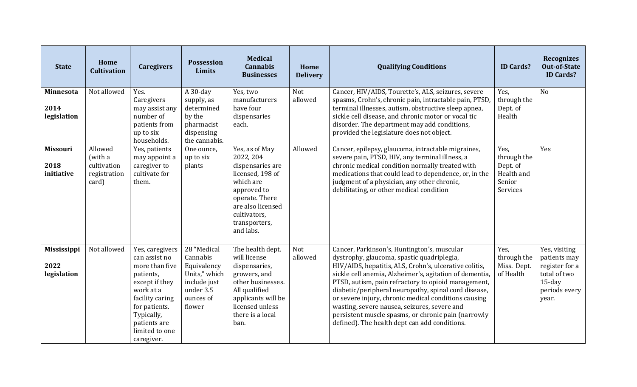| <b>State</b>                              | Home<br><b>Cultivation</b>                                 | <b>Caregivers</b>                                                                                                                                                                                | Possession<br><b>Limits</b>                                                                                 | <b>Medical</b><br><b>Cannabis</b><br><b>Businesses</b>                                                                                                                               | Home<br><b>Delivery</b> | <b>Qualifying Conditions</b>                                                                                                                                                                                                                                                                                                                                                                                                                                                                                                                  | <b>ID Cards?</b>                                                    | <b>Recognizes</b><br><b>Out-of-State</b><br><b>ID Cards?</b>                                           |
|-------------------------------------------|------------------------------------------------------------|--------------------------------------------------------------------------------------------------------------------------------------------------------------------------------------------------|-------------------------------------------------------------------------------------------------------------|--------------------------------------------------------------------------------------------------------------------------------------------------------------------------------------|-------------------------|-----------------------------------------------------------------------------------------------------------------------------------------------------------------------------------------------------------------------------------------------------------------------------------------------------------------------------------------------------------------------------------------------------------------------------------------------------------------------------------------------------------------------------------------------|---------------------------------------------------------------------|--------------------------------------------------------------------------------------------------------|
| Minnesota<br>2014<br>legislation          | Not allowed                                                | Yes.<br>Caregivers<br>may assist any<br>number of<br>patients from<br>up to six<br>households.                                                                                                   | $A$ 30-day<br>supply, as<br>determined<br>by the<br>pharmacist<br>dispensing<br>the cannabis.               | Yes, two<br>manufacturers<br>have four<br>dispensaries<br>each.                                                                                                                      | Not<br>allowed          | Cancer, HIV/AIDS, Tourette's, ALS, seizures, severe<br>spasms, Crohn's, chronic pain, intractable pain, PTSD,<br>terminal illnesses, autism, obstructive sleep apnea,<br>sickle cell disease, and chronic motor or vocal tic<br>disorder. The department may add conditions,<br>provided the legislature does not object.                                                                                                                                                                                                                     | Yes,<br>through the<br>Dept. of<br>Health                           | N <sub>o</sub>                                                                                         |
| <b>Missouri</b><br>2018<br>initiative     | Allowed<br>(with a<br>cultivation<br>registration<br>card) | Yes, patients<br>may appoint a<br>caregiver to<br>cultivate for<br>them.                                                                                                                         | One ounce,<br>up to six<br>plants                                                                           | Yes, as of May<br>2022, 204<br>dispensaries are<br>licensed, 198 of<br>which are<br>approved to<br>operate. There<br>are also licensed<br>cultivators,<br>transporters,<br>and labs. | Allowed                 | Cancer, epilepsy, glaucoma, intractable migraines,<br>severe pain, PTSD, HIV, any terminal illness, a<br>chronic medical condition normally treated with<br>medications that could lead to dependence, or, in the<br>judgment of a physician, any other chronic,<br>debilitating, or other medical condition                                                                                                                                                                                                                                  | Yes,<br>through the<br>Dept. of<br>Health and<br>Senior<br>Services | Yes                                                                                                    |
| <b>Mississippi</b><br>2022<br>legislation | Not allowed                                                | Yes, caregivers<br>can assist no<br>more than five<br>patients,<br>except if they<br>work at a<br>facility caring<br>for patients.<br>Typically,<br>patients are<br>limited to one<br>caregiver. | 28 "Medical<br>Cannabis<br>Equivalency<br>Units," which<br>include just<br>under 3.5<br>ounces of<br>flower | The health dept.<br>will license<br>dispensaries,<br>growers, and<br>other businesses.<br>All qualified<br>applicants will be<br>licensed unless<br>there is a local<br>ban.         | Not<br>allowed          | Cancer, Parkinson's, Huntington's, muscular<br>dystrophy, glaucoma, spastic quadriplegia,<br>HIV/AIDS, hepatitis, ALS, Crohn's, ulcerative colitis,<br>sickle cell anemia, Alzheimer's, agitation of dementia,<br>PTSD, autism, pain refractory to opioid management,<br>diabetic/peripheral neuropathy, spinal cord disease,<br>or severe injury, chronic medical conditions causing<br>wasting, severe nausea, seizures, severe and<br>persistent muscle spasms, or chronic pain (narrowly<br>defined). The health dept can add conditions. | Yes,<br>through the<br>Miss. Dept.<br>of Health                     | Yes, visiting<br>patients may<br>register for a<br>total of two<br>$15$ -day<br>periods every<br>year. |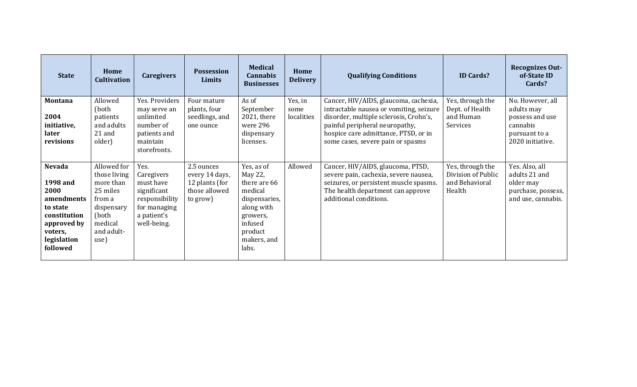| <b>State</b>                                                                                                                     | Home<br><b>Cultivation</b>                                                                                             | <b>Caregivers</b>                                                                                              | <b>Possession</b><br><b>Limits</b>                                          | <b>Medical</b><br><b>Cannabis</b><br><b>Businesses</b>                                                                                    | Home<br><b>Delivery</b>       | <b>Qualifying Conditions</b>                                                                                                                                                                                                              | <b>ID Cards?</b>                                                   | <b>Recognizes Out-</b><br>of-State ID<br>Cards?                                                    |
|----------------------------------------------------------------------------------------------------------------------------------|------------------------------------------------------------------------------------------------------------------------|----------------------------------------------------------------------------------------------------------------|-----------------------------------------------------------------------------|-------------------------------------------------------------------------------------------------------------------------------------------|-------------------------------|-------------------------------------------------------------------------------------------------------------------------------------------------------------------------------------------------------------------------------------------|--------------------------------------------------------------------|----------------------------------------------------------------------------------------------------|
| <b>Montana</b><br>2004<br>initiative,<br>later<br>revisions                                                                      | Allowed<br>(both)<br>patients<br>and adults<br>$21$ and<br>older)                                                      | Yes. Providers<br>may serve an<br>unlimited<br>number of<br>patients and<br>maintain<br>storefronts.           | Four mature<br>plants, four<br>seedlings, and<br>one ounce                  | As of<br>September<br>2021, there<br>were 296<br>dispensary<br>licenses.                                                                  | Yes, in<br>some<br>localities | Cancer, HIV/AIDS, glaucoma, cachexia,<br>intractable nausea or vomiting, seizure<br>disorder, multiple sclerosis, Crohn's,<br>painful peripheral neuropathy,<br>hospice care admittance, PTSD, or in<br>some cases, severe pain or spasms | Yes, through the<br>Dept. of Health<br>and Human<br>Services       | No. However, all<br>adults may<br>possess and use<br>cannabis<br>pursuant to a<br>2020 initiative. |
| <b>Nevada</b><br>1998 and<br>2000<br>amendments<br>to state<br>constitution<br>approved by<br>voters,<br>legislation<br>followed | Allowed for<br>those living<br>more than<br>25 miles<br>from a<br>dispensary<br>(both<br>medical<br>and adult-<br>use) | Yes.<br>Caregivers<br>must have<br>significant<br>responsibility<br>for managing<br>a patient's<br>well-being. | 2.5 ounces<br>every 14 days,<br>12 plants (for<br>those allowed<br>to grow) | Yes, as of<br>May 22,<br>there are 66<br>medical<br>dispensaries,<br>along with<br>growers,<br>infused<br>product<br>makers, and<br>labs. | Allowed                       | Cancer, HIV/AIDS, glaucoma, PTSD,<br>severe pain, cachexia, severe nausea,<br>seizures, or persistent muscle spasms.<br>The health department can approve<br>additional conditions.                                                       | Yes, through the<br>Division of Public<br>and Behavioral<br>Health | Yes. Also, all<br>adults 21 and<br>older may<br>purchase, possess,<br>and use, cannabis.           |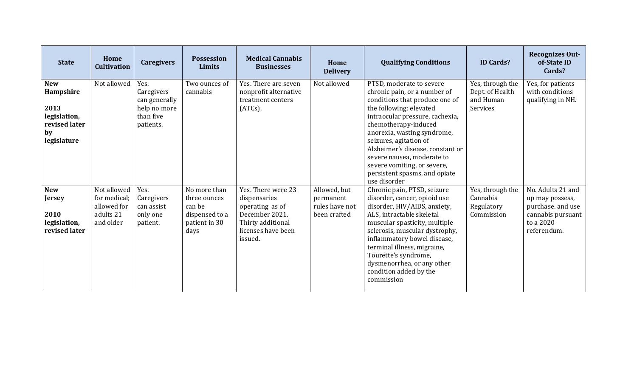| <b>State</b>                                                                          | Home<br><b>Cultivation</b>                                           | <b>Caregivers</b>                                                             | <b>Possession</b><br><b>Limits</b>                                                | <b>Medical Cannabis</b><br><b>Businesses</b>                                                                                  | Home<br><b>Delivery</b>                                     | <b>Qualifying Conditions</b>                                                                                                                                                                                                                                                                                                                                                                | <b>ID Cards?</b>                                             | <b>Recognizes Out-</b><br>of-State ID<br>Cards?                                                            |
|---------------------------------------------------------------------------------------|----------------------------------------------------------------------|-------------------------------------------------------------------------------|-----------------------------------------------------------------------------------|-------------------------------------------------------------------------------------------------------------------------------|-------------------------------------------------------------|---------------------------------------------------------------------------------------------------------------------------------------------------------------------------------------------------------------------------------------------------------------------------------------------------------------------------------------------------------------------------------------------|--------------------------------------------------------------|------------------------------------------------------------------------------------------------------------|
| <b>New</b><br>Hampshire<br>2013<br>legislation,<br>revised later<br>by<br>legislature | Not allowed                                                          | Yes.<br>Caregivers<br>can generally<br>help no more<br>than five<br>patients. | Two ounces of<br>cannabis                                                         | Yes. There are seven<br>nonprofit alternative<br>treatment centers<br>$(ATCs)$ .                                              | Not allowed                                                 | PTSD, moderate to severe<br>chronic pain, or a number of<br>conditions that produce one of<br>the following: elevated<br>intraocular pressure, cachexia,<br>chemotherapy-induced<br>anorexia, wasting syndrome,<br>seizures, agitation of<br>Alzheimer's disease, constant or<br>severe nausea, moderate to<br>severe vomiting, or severe,<br>persistent spasms, and opiate<br>use disorder | Yes, through the<br>Dept. of Health<br>and Human<br>Services | Yes, for patients<br>with conditions<br>qualifying in NH.                                                  |
| <b>New</b><br><b>Jersey</b><br>2010<br>legislation,<br>revised later                  | Not allowed<br>for medical;<br>allowed for<br>adults 21<br>and older | Yes.<br>Caregivers<br>can assist<br>only one<br>patient.                      | No more than<br>three ounces<br>can be<br>dispensed to a<br>patient in 30<br>days | Yes. There were 23<br>dispensaries<br>operating as of<br>December 2021.<br>Thirty additional<br>licenses have been<br>issued. | Allowed, but<br>permanent<br>rules have not<br>been crafted | Chronic pain, PTSD, seizure<br>disorder, cancer, opioid use<br>disorder, HIV/AIDS, anxiety,<br>ALS, intractable skeletal<br>muscular spasticity, multiple<br>sclerosis, muscular dystrophy,<br>inflammatory bowel disease,<br>terminal illness, migraine,<br>Tourette's syndrome,<br>dysmenorrhea, or any other<br>condition added by the<br>commission                                     | Yes, through the<br>Cannabis<br>Regulatory<br>Commission     | No. Adults 21 and<br>up may possess,<br>purchase. and use<br>cannabis pursuant<br>to a 2020<br>referendum. |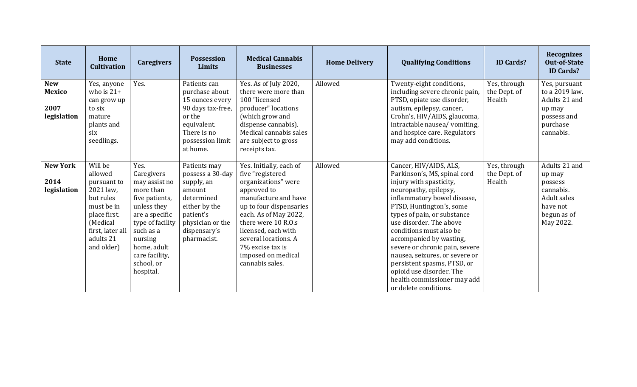| <b>State</b>                                       | Home<br><b>Cultivation</b>                                                                                                                           | <b>Caregivers</b>                                                                                                                                                                                           | <b>Possession</b><br>Limits                                                                                                                             | <b>Medical Cannabis</b><br><b>Businesses</b>                                                                                                                                                                                                                                                     | <b>Home Delivery</b> | <b>Qualifying Conditions</b>                                                                                                                                                                                                                                                                                                                                                                                                                                                 | <b>ID Cards?</b>                       | <b>Recognizes</b><br><b>Out-of-State</b><br><b>ID Cards?</b>                                                  |
|----------------------------------------------------|------------------------------------------------------------------------------------------------------------------------------------------------------|-------------------------------------------------------------------------------------------------------------------------------------------------------------------------------------------------------------|---------------------------------------------------------------------------------------------------------------------------------------------------------|--------------------------------------------------------------------------------------------------------------------------------------------------------------------------------------------------------------------------------------------------------------------------------------------------|----------------------|------------------------------------------------------------------------------------------------------------------------------------------------------------------------------------------------------------------------------------------------------------------------------------------------------------------------------------------------------------------------------------------------------------------------------------------------------------------------------|----------------------------------------|---------------------------------------------------------------------------------------------------------------|
| <b>New</b><br><b>Mexico</b><br>2007<br>legislation | Yes, anyone<br>who is $21+$<br>can grow up<br>to six<br>mature<br>plants and<br>six<br>seedlings.                                                    | Yes.                                                                                                                                                                                                        | Patients can<br>purchase about<br>15 ounces every<br>90 days tax-free,<br>or the<br>equivalent.<br>There is no<br>possession limit<br>at home.          | Yes. As of July 2020,<br>there were more than<br>100 "licensed<br>producer" locations<br>(which grow and<br>dispense cannabis).<br>Medical cannabis sales<br>are subject to gross<br>receipts tax.                                                                                               | Allowed              | Twenty-eight conditions,<br>including severe chronic pain,<br>PTSD, opiate use disorder,<br>autism, epilepsy, cancer,<br>Crohn's, HIV/AIDS, glaucoma,<br>intractable nausea/ vomiting,<br>and hospice care. Regulators<br>may add conditions.                                                                                                                                                                                                                                | Yes, through<br>the Dept. of<br>Health | Yes, pursuant<br>to a 2019 law.<br>Adults 21 and<br>up may<br>possess and<br>purchase<br>cannabis.            |
| <b>New York</b><br>2014<br>legislation             | Will be<br>allowed<br>pursuant to<br>2021 law,<br>but rules<br>must be in<br>place first.<br>(Medical<br>first, later all<br>adults 21<br>and older) | Yes.<br>Caregivers<br>may assist no<br>more than<br>five patients,<br>unless they<br>are a specific<br>type of facility<br>such as a<br>nursing<br>home, adult<br>care facility,<br>school, or<br>hospital. | Patients may<br>possess a 30-day<br>supply, an<br>amount<br>determined<br>either by the<br>patient's<br>physician or the<br>dispensary's<br>pharmacist. | Yes. Initially, each of<br>five "registered<br>organizations" were<br>approved to<br>manufacture and have<br>up to four dispensaries<br>each. As of May 2022,<br>there were 10 R.O.s<br>licensed, each with<br>several locations. A<br>7% excise tax is<br>imposed on medical<br>cannabis sales. | Allowed              | Cancer, HIV/AIDS, ALS,<br>Parkinson's, MS, spinal cord<br>injury with spasticity,<br>neuropathy, epilepsy,<br>inflammatory bowel disease,<br>PTSD, Huntington's, some<br>types of pain, or substance<br>use disorder. The above<br>conditions must also be<br>accompanied by wasting,<br>severe or chronic pain, severe<br>nausea, seizures, or severe or<br>persistent spasms, PTSD, or<br>opioid use disorder. The<br>health commissioner may add<br>or delete conditions. | Yes, through<br>the Dept. of<br>Health | Adults 21 and<br>up may<br>possess<br>cannabis.<br><b>Adult sales</b><br>have not<br>begun as of<br>May 2022. |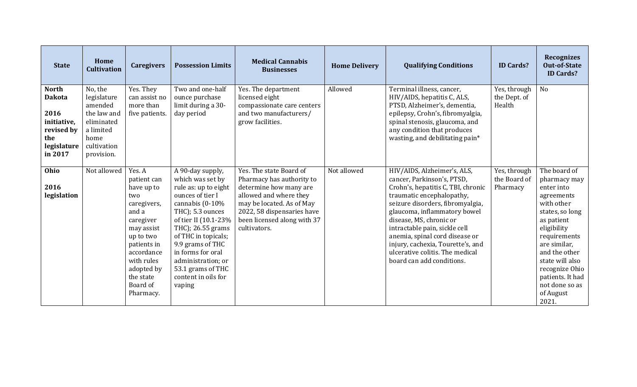| <b>State</b>                                                                                        | Home<br><b>Cultivation</b>                                                                                       | <b>Caregivers</b>                                                                                                                                                                                         | <b>Possession Limits</b>                                                                                                                                                                                                                                                                                         | <b>Medical Cannabis</b><br><b>Businesses</b>                                                                                                                                                                       | <b>Home Delivery</b> | <b>Qualifying Conditions</b>                                                                                                                                                                                                                                                                                                                                                                        | <b>ID Cards?</b>                         | <b>Recognizes</b><br><b>Out-of-State</b><br><b>ID Cards?</b>                                                                                                                                                                                                             |
|-----------------------------------------------------------------------------------------------------|------------------------------------------------------------------------------------------------------------------|-----------------------------------------------------------------------------------------------------------------------------------------------------------------------------------------------------------|------------------------------------------------------------------------------------------------------------------------------------------------------------------------------------------------------------------------------------------------------------------------------------------------------------------|--------------------------------------------------------------------------------------------------------------------------------------------------------------------------------------------------------------------|----------------------|-----------------------------------------------------------------------------------------------------------------------------------------------------------------------------------------------------------------------------------------------------------------------------------------------------------------------------------------------------------------------------------------------------|------------------------------------------|--------------------------------------------------------------------------------------------------------------------------------------------------------------------------------------------------------------------------------------------------------------------------|
| <b>North</b><br><b>Dakota</b><br>2016<br>initiative,<br>revised by<br>the<br>legislature<br>in 2017 | No, the<br>legislature<br>amended<br>the law and<br>eliminated<br>a limited<br>home<br>cultivation<br>provision. | Yes. They<br>can assist no<br>more than<br>five patients.                                                                                                                                                 | Two and one-half<br>ounce purchase<br>limit during a 30-<br>day period                                                                                                                                                                                                                                           | Yes. The department<br>licensed eight<br>compassionate care centers<br>and two manufacturers/<br>grow facilities.                                                                                                  | Allowed              | Terminal illness, cancer,<br>HIV/AIDS, hepatitis C, ALS,<br>PTSD, Alzheimer's, dementia,<br>epilepsy, Crohn's, fibromyalgia,<br>spinal stenosis, glaucoma, and<br>any condition that produces<br>wasting, and debilitating pain*                                                                                                                                                                    | Yes, through<br>the Dept. of<br>Health   | No                                                                                                                                                                                                                                                                       |
| Ohio<br>2016<br>legislation                                                                         | Not allowed                                                                                                      | Yes. A<br>patient can<br>have up to<br>two<br>caregivers,<br>and a<br>caregiver<br>may assist<br>up to two<br>patients in<br>accordance<br>with rules<br>adopted by<br>the state<br>Board of<br>Pharmacy. | A 90-day supply,<br>which was set by<br>rule as: up to eight<br>ounces of tier I<br>cannabis (0-10%<br>THC); 5.3 ounces<br>of tier II (10.1-23%<br>THC); 26.55 grams<br>of THC in topicals;<br>9.9 grams of THC<br>in forms for oral<br>administration; or<br>53.1 grams of THC<br>content in oils for<br>vaping | Yes. The state Board of<br>Pharmacy has authority to<br>determine how many are<br>allowed and where they<br>may be located. As of May<br>2022, 58 dispensaries have<br>been licensed along with 37<br>cultivators. | Not allowed          | HIV/AIDS, Alzheimer's, ALS,<br>cancer, Parkinson's, PTSD,<br>Crohn's, hepatitis C, TBI, chronic<br>traumatic encephalopathy,<br>seizure disorders, fibromyalgia,<br>glaucoma, inflammatory bowel<br>disease, MS, chronic or<br>intractable pain, sickle cell<br>anemia, spinal cord disease or<br>injury, cachexia, Tourette's, and<br>ulcerative colitis. The medical<br>board can add conditions. | Yes, through<br>the Board of<br>Pharmacy | The board of<br>pharmacy may<br>enter into<br>agreements<br>with other<br>states, so long<br>as patient<br>eligibility<br>requirements<br>are similar,<br>and the other<br>state will also<br>recognize Ohio<br>patients. It had<br>not done so as<br>of August<br>2021. |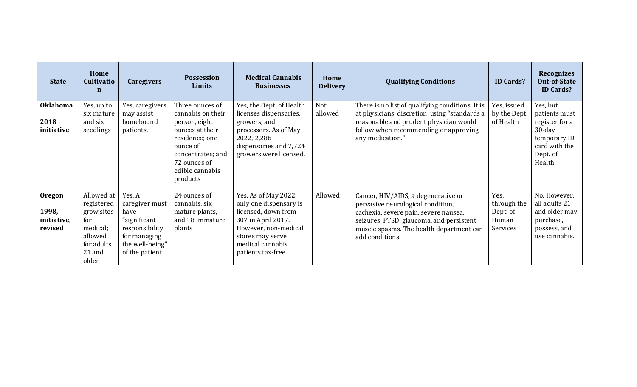| <b>State</b>                              | Home<br><b>Cultivatio</b><br>$\mathbf n$                                                              | <b>Caregivers</b>                                                                                                        | <b>Possession</b><br>Limits                                                                                                                                                | <b>Medical Cannabis</b><br><b>Businesses</b>                                                                                                                                      | Home<br><b>Delivery</b> | <b>Qualifying Conditions</b>                                                                                                                                                                                                 | <b>ID Cards?</b>                                     | <b>Recognizes</b><br><b>Out-of-State</b><br><b>ID Cards?</b>                                                    |
|-------------------------------------------|-------------------------------------------------------------------------------------------------------|--------------------------------------------------------------------------------------------------------------------------|----------------------------------------------------------------------------------------------------------------------------------------------------------------------------|-----------------------------------------------------------------------------------------------------------------------------------------------------------------------------------|-------------------------|------------------------------------------------------------------------------------------------------------------------------------------------------------------------------------------------------------------------------|------------------------------------------------------|-----------------------------------------------------------------------------------------------------------------|
| <b>Oklahoma</b><br>2018<br>initiative     | Yes, up to<br>six mature<br>and six<br>seedlings                                                      | Yes, caregivers<br>may assist<br>homebound<br>patients.                                                                  | Three ounces of<br>cannabis on their<br>person, eight<br>ounces at their<br>residence; one<br>ounce of<br>concentrates; and<br>72 ounces of<br>edible cannabis<br>products | Yes, the Dept. of Health<br>licenses dispensaries,<br>growers, and<br>processors. As of May<br>2022, 2,286<br>dispensaries and 7,724<br>growers were licensed.                    | Not<br>allowed          | There is no list of qualifying conditions. It is<br>at physicians' discretion, using "standards a<br>reasonable and prudent physician would<br>follow when recommending or approving<br>any medication."                     | Yes, issued<br>by the Dept.<br>of Health             | Yes, but<br>patients must<br>register for a<br>$30$ -day<br>temporary ID<br>card with the<br>Dept. of<br>Health |
| Oregon<br>1998,<br>initiative,<br>revised | Allowed at<br>registered<br>grow sites<br>for<br>medical;<br>allowed<br>for adults<br>21 and<br>older | Yes. A<br>caregiver must<br>have<br>"significant<br>responsibility<br>for managing<br>the well-being"<br>of the patient. | 24 ounces of<br>cannabis, six<br>mature plants,<br>and 18 immature<br>plants                                                                                               | Yes. As of May 2022,<br>only one dispensary is<br>licensed, down from<br>307 in April 2017.<br>However, non-medical<br>stores may serve<br>medical cannabis<br>patients tax-free. | Allowed                 | Cancer, HIV/AIDS, a degenerative or<br>pervasive neurological condition,<br>cachexia, severe pain, severe nausea,<br>seizures, PTSD, glaucoma, and persistent<br>muscle spasms. The health department can<br>add conditions. | Yes,<br>through the<br>Dept. of<br>Human<br>Services | No. However,<br>all adults 21<br>and older may<br>purchase,<br>possess, and<br>use cannabis.                    |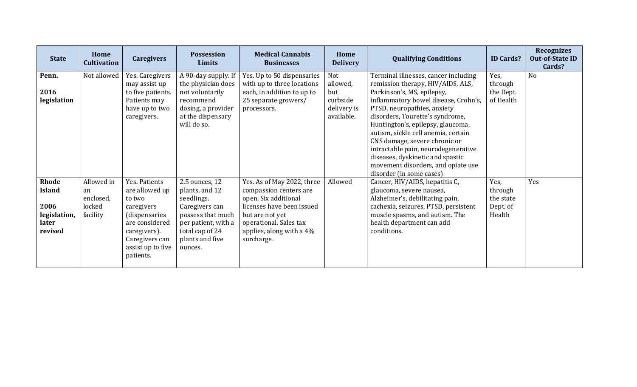| <b>State</b>                                                       | Home<br><b>Cultivation</b>                          | <b>Caregivers</b>                                                                                                                                              | <b>Possession</b><br>Limits                                                                                                                                   | <b>Medical Cannabis</b><br><b>Businesses</b>                                                                                                                                                     | Home<br><b>Delivery</b>                                         | <b>Qualifying Conditions</b>                                                                                                                                                                                                                                                                                                                                                                                                                                                | <b>ID Cards?</b>                                   | <b>Recognizes</b><br><b>Out-of-State ID</b><br>Cards? |
|--------------------------------------------------------------------|-----------------------------------------------------|----------------------------------------------------------------------------------------------------------------------------------------------------------------|---------------------------------------------------------------------------------------------------------------------------------------------------------------|--------------------------------------------------------------------------------------------------------------------------------------------------------------------------------------------------|-----------------------------------------------------------------|-----------------------------------------------------------------------------------------------------------------------------------------------------------------------------------------------------------------------------------------------------------------------------------------------------------------------------------------------------------------------------------------------------------------------------------------------------------------------------|----------------------------------------------------|-------------------------------------------------------|
| Penn.<br>2016<br>legislation                                       | Not allowed                                         | Yes. Caregivers<br>may assist up<br>to five patients.<br>Patients may<br>have up to two<br>caregivers.                                                         | A 90-day supply. If<br>the physician does<br>not voluntarily<br>recommend<br>dosing, a provider<br>at the dispensary<br>will do so.                           | Yes. Up to 50 dispensaries<br>with up to three locations<br>each, in addition to up to<br>25 separate growers/<br>processors.                                                                    | Not<br>allowed,<br>but<br>curbside<br>delivery is<br>available. | Terminal illnesses, cancer including<br>remission therapy, HIV/AIDS, ALS,<br>Parkinson's, MS, epilepsy,<br>inflammatory bowel disease, Crohn's,<br>PTSD, neuropathies, anxiety<br>disorders, Tourette's syndrome,<br>Huntington's, epilepsy, glaucoma,<br>autism, sickle cell anemia, certain<br>CNS damage, severe chronic or<br>intractable pain, neurodegenerative<br>diseases, dyskinetic and spastic<br>movement disorders, and opiate use<br>disorder (in some cases) | Yes,<br>through<br>the Dept.<br>of Health          | N <sub>o</sub>                                        |
| Rhode<br><b>Island</b><br>2006<br>legislation,<br>later<br>revised | Allowed in<br>an<br>enclosed,<br>locked<br>facility | Yes. Patients<br>are allowed up<br>to two<br>caregivers<br>(dispensaries<br>are considered<br>caregivers).<br>Caregivers can<br>assist up to five<br>patients. | 2.5 ounces, 12<br>plants, and 12<br>seedlings.<br>Caregivers can<br>possess that much<br>per patient, with a<br>total cap of 24<br>plants and five<br>ounces. | Yes. As of May 2022, three<br>compassion centers are<br>open. Six additional<br>licenses have been issued<br>but are not yet<br>operational. Sales tax<br>applies, along with a 4%<br>surcharge. | Allowed                                                         | Cancer, HIV/AIDS, hepatitis C,<br>glaucoma, severe nausea,<br>Alzheimer's, debilitating pain,<br>cachexia, seizures, PTSD, persistent<br>muscle spasms, and autism. The<br>health department can add<br>conditions.                                                                                                                                                                                                                                                         | Yes,<br>through<br>the state<br>Dept. of<br>Health | Yes                                                   |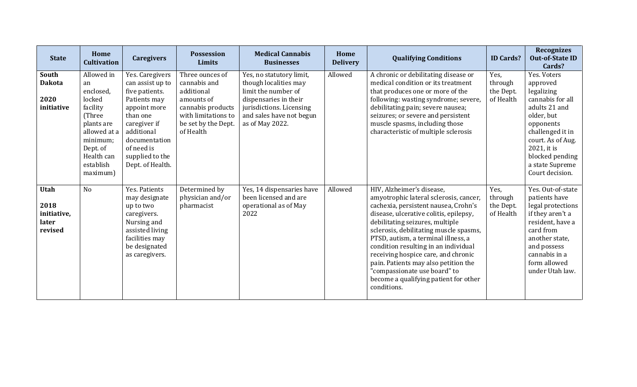| <b>State</b>                                           | Home<br><b>Cultivation</b>                                                                                                                                 | <b>Caregivers</b>                                                                                                                                                                                     | <b>Possession</b><br>Limits                                                                                                                 | <b>Medical Cannabis</b><br><b>Businesses</b>                                                                                                                                 | Home<br><b>Delivery</b> | <b>Qualifying Conditions</b>                                                                                                                                                                                                                                                                                                                                                                                                                                                             | <b>ID Cards?</b>                          | <b>Recognizes</b><br><b>Out-of-State ID</b><br>Cards?                                                                                                                                                                  |
|--------------------------------------------------------|------------------------------------------------------------------------------------------------------------------------------------------------------------|-------------------------------------------------------------------------------------------------------------------------------------------------------------------------------------------------------|---------------------------------------------------------------------------------------------------------------------------------------------|------------------------------------------------------------------------------------------------------------------------------------------------------------------------------|-------------------------|------------------------------------------------------------------------------------------------------------------------------------------------------------------------------------------------------------------------------------------------------------------------------------------------------------------------------------------------------------------------------------------------------------------------------------------------------------------------------------------|-------------------------------------------|------------------------------------------------------------------------------------------------------------------------------------------------------------------------------------------------------------------------|
| <b>South</b><br><b>Dakota</b><br>2020<br>initiative    | Allowed in<br>an<br>enclosed,<br>locked<br>facility<br>(Three<br>plants are<br>allowed at a<br>minimum;<br>Dept. of<br>Health can<br>establish<br>maximum) | Yes. Caregivers<br>can assist up to<br>five patients.<br>Patients may<br>appoint more<br>than one<br>caregiver if<br>additional<br>documentation<br>of need is<br>supplied to the<br>Dept. of Health. | Three ounces of<br>cannabis and<br>additional<br>amounts of<br>cannabis products<br>with limitations to<br>be set by the Dept.<br>of Health | Yes, no statutory limit,<br>though localities may<br>limit the number of<br>dispensaries in their<br>jurisdictions. Licensing<br>and sales have not begun<br>as of May 2022. | Allowed                 | A chronic or debilitating disease or<br>medical condition or its treatment<br>that produces one or more of the<br>following: wasting syndrome; severe,<br>debilitating pain; severe nausea;<br>seizures; or severe and persistent<br>muscle spasms, including those<br>characteristic of multiple sclerosis                                                                                                                                                                              | Yes,<br>through<br>the Dept.<br>of Health | Yes. Voters<br>approved<br>legalizing<br>cannabis for all<br>adults 21 and<br>older, but<br>opponents<br>challenged it in<br>court. As of Aug.<br>2021, it is<br>blocked pending<br>a state Supreme<br>Court decision. |
| <b>Utah</b><br>2018<br>initiative,<br>later<br>revised | N <sub>o</sub>                                                                                                                                             | Yes. Patients<br>may designate<br>up to two<br>caregivers.<br>Nursing and<br>assisted living<br>facilities may<br>be designated<br>as caregivers.                                                     | Determined by<br>physician and/or<br>pharmacist                                                                                             | Yes, 14 dispensaries have<br>been licensed and are<br>operational as of May<br>2022                                                                                          | Allowed                 | HIV, Alzheimer's disease,<br>amyotrophic lateral sclerosis, cancer,<br>cachexia, persistent nausea, Crohn's<br>disease, ulcerative colitis, epilepsy,<br>debilitating seizures, multiple<br>sclerosis, debilitating muscle spasms,<br>PTSD, autism, a terminal illness, a<br>condition resulting in an individual<br>receiving hospice care, and chronic<br>pain. Patients may also petition the<br>"compassionate use board" to<br>become a qualifying patient for other<br>conditions. | Yes,<br>through<br>the Dept.<br>of Health | Yes. Out-of-state<br>patients have<br>legal protections<br>if they aren't a<br>resident, have a<br>card from<br>another state,<br>and possess<br>cannabis in a<br>form allowed<br>under Utah law.                      |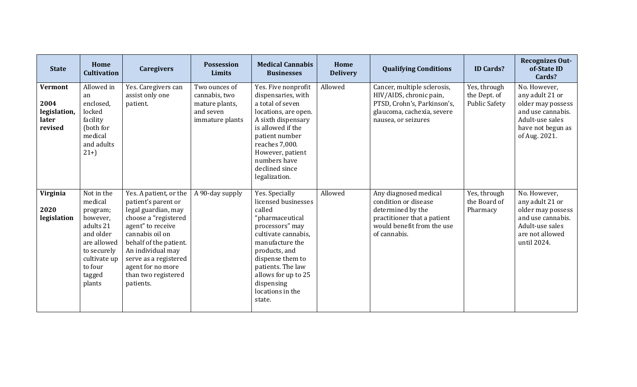| <b>State</b>                                               | Home<br><b>Cultivation</b>                                                                                                                           | <b>Caregivers</b>                                                                                                                                                                                                                                                     | <b>Possession</b><br>Limits                                                      | <b>Medical Cannabis</b><br><b>Businesses</b>                                                                                                                                                                                                                 | Home<br><b>Delivery</b> | <b>Qualifying Conditions</b>                                                                                                                    | <b>ID Cards?</b>                                     | <b>Recognizes Out-</b><br>of-State ID<br>Cards?                                                                                    |
|------------------------------------------------------------|------------------------------------------------------------------------------------------------------------------------------------------------------|-----------------------------------------------------------------------------------------------------------------------------------------------------------------------------------------------------------------------------------------------------------------------|----------------------------------------------------------------------------------|--------------------------------------------------------------------------------------------------------------------------------------------------------------------------------------------------------------------------------------------------------------|-------------------------|-------------------------------------------------------------------------------------------------------------------------------------------------|------------------------------------------------------|------------------------------------------------------------------------------------------------------------------------------------|
| <b>Vermont</b><br>2004<br>legislation,<br>later<br>revised | Allowed in<br>an<br>enclosed,<br>locked<br>facility<br>(both for<br>medical<br>and adults<br>$21+$                                                   | Yes. Caregivers can<br>assist only one<br>patient.                                                                                                                                                                                                                    | Two ounces of<br>cannabis, two<br>mature plants,<br>and seven<br>immature plants | Yes. Five nonprofit<br>dispensaries, with<br>a total of seven<br>locations, are open.<br>A sixth dispensary<br>is allowed if the<br>patient number<br>reaches 7,000.<br>However, patient<br>numbers have<br>declined since<br>legalization.                  | Allowed                 | Cancer, multiple sclerosis,<br>HIV/AIDS, chronic pain,<br>PTSD, Crohn's, Parkinson's,<br>glaucoma, cachexia, severe<br>nausea, or seizures      | Yes, through<br>the Dept. of<br><b>Public Safety</b> | No. However,<br>any adult 21 or<br>older may possess<br>and use cannabis.<br>Adult-use sales<br>have not begun as<br>of Aug. 2021. |
| Virginia<br>2020<br>legislation                            | Not in the<br>medical<br>program;<br>however,<br>adults 21<br>and older<br>are allowed<br>to securely<br>cultivate up<br>to four<br>tagged<br>plants | Yes. A patient, or the<br>patient's parent or<br>legal guardian, may<br>choose a "registered<br>agent" to receive<br>cannabis oil on<br>behalf of the patient.<br>An individual may<br>serve as a registered<br>agent for no more<br>than two registered<br>patients. | A 90-day supply                                                                  | Yes. Specially<br>licensed businesses<br>called<br>"pharmaceutical<br>processors" may<br>cultivate cannabis.<br>manufacture the<br>products, and<br>dispense them to<br>patients. The law<br>allows for up to 25<br>dispensing<br>locations in the<br>state. | Allowed                 | Any diagnosed medical<br>condition or disease<br>determined by the<br>practitioner that a patient<br>would benefit from the use<br>of cannabis. | Yes, through<br>the Board of<br>Pharmacy             | No. However,<br>any adult 21 or<br>older may possess<br>and use cannabis.<br>Adult-use sales<br>are not allowed<br>until 2024.     |